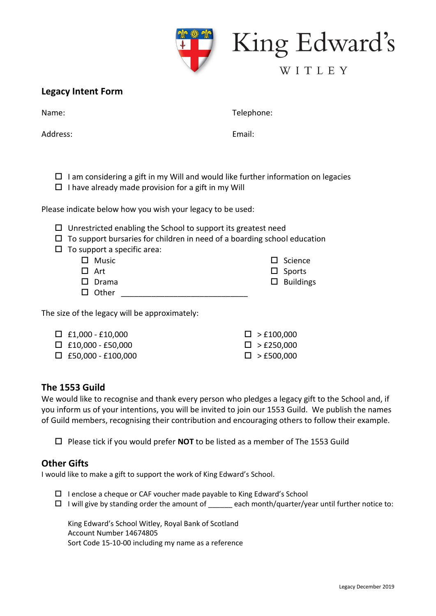

King Edward's

# WITLEY

#### **Legacy Intent Form**

Name:

Address:

Telephone:

Email:

- $\Box$  I am considering a gift in my Will and would like further information on legacies
- $\Box$  I have already made provision for a gift in my Will

Please indicate below how you wish your legacy to be used:

- $\Box$  Unrestricted enabling the School to support its greatest need
- $\Box$  To support bursaries for children in need of a boarding school education

| $\Box$ To support a specific area: |              |  |  |                  |  |  |
|------------------------------------|--------------|--|--|------------------|--|--|
|                                    | $\Box$ Music |  |  | $\Box$ Science   |  |  |
|                                    | $\Box$ Art   |  |  | $\Box$ Sports    |  |  |
|                                    | $\Box$ Drama |  |  | $\Box$ Buildings |  |  |
|                                    | $\Box$ Other |  |  |                  |  |  |

The size of the legacy will be approximately:

| $\Box$ £1,000 - £10,000   | $\Box$ > £100,000    |
|---------------------------|----------------------|
| $\Box$ £10,000 - £50,000  | $\square$ > £250,000 |
| $\Box$ £50,000 - £100,000 | $\Box >$ £500,000    |

## **The 1553 Guild**

We would like to recognise and thank every person who pledges a legacy gift to the School and, if you inform us of your intentions, you will be invited to join our 1553 Guild. We publish the names of Guild members, recognising their contribution and encouraging others to follow their example.

Please tick if you would prefer **NOT** to be listed as a member of The 1553 Guild

#### **Other Gifts**

I would like to make a gift to support the work of King Edward's School.

- $\Box$  I enclose a cheque or CAF voucher made payable to King Edward's School
- $\Box$  I will give by standing order the amount of \_\_\_\_\_ each month/quarter/year until further notice to:

King Edward's School Witley, Royal Bank of Scotland Account Number 14674805 Sort Code 15-10-00 including my name as a reference